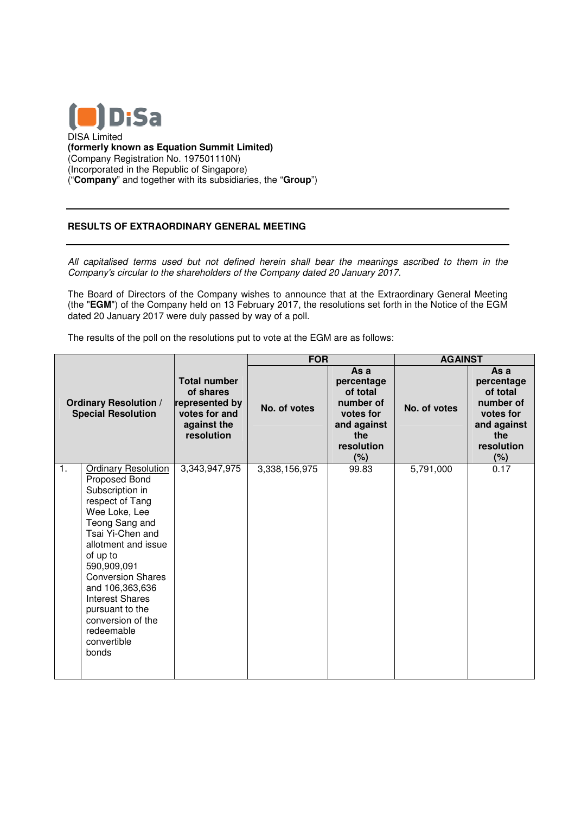

DISA Limited **(formerly known as Equation Summit Limited)** (Company Registration No. 197501110N) (Incorporated in the Republic of Singapore) ("**Company**" and together with its subsidiaries, the "**Group**")

## **RESULTS OF EXTRAORDINARY GENERAL MEETING**

All capitalised terms used but not defined herein shall bear the meanings ascribed to them in the Company's circular to the shareholders of the Company dated 20 January 2017.

The Board of Directors of the Company wishes to announce that at the Extraordinary General Meeting (the "**EGM**") of the Company held on 13 February 2017, the resolutions set forth in the Notice of the EGM dated 20 January 2017 were duly passed by way of a poll.

The results of the poll on the resolutions put to vote at the EGM are as follows:

|                                                           |                                                                                                                                                                                                                                                                                                                                                   |                                                                                                  | <b>FOR</b>    |                                                                                                        | <b>AGAINST</b> |                                                                                                        |
|-----------------------------------------------------------|---------------------------------------------------------------------------------------------------------------------------------------------------------------------------------------------------------------------------------------------------------------------------------------------------------------------------------------------------|--------------------------------------------------------------------------------------------------|---------------|--------------------------------------------------------------------------------------------------------|----------------|--------------------------------------------------------------------------------------------------------|
| <b>Ordinary Resolution /</b><br><b>Special Resolution</b> |                                                                                                                                                                                                                                                                                                                                                   | <b>Total number</b><br>of shares<br>represented by<br>votes for and<br>against the<br>resolution | No. of votes  | As a<br>percentage<br>of total<br>number of<br>votes for<br>and against<br>the<br>resolution<br>$(\%)$ | No. of votes   | As a<br>percentage<br>of total<br>number of<br>votes for<br>and against<br>the<br>resolution<br>$(\%)$ |
| 1.                                                        | <b>Ordinary Resolution</b><br>Proposed Bond<br>Subscription in<br>respect of Tang<br>Wee Loke, Lee<br>Teong Sang and<br>Tsai Yi-Chen and<br>allotment and issue<br>of up to<br>590,909,091<br><b>Conversion Shares</b><br>and 106,363,636<br><b>Interest Shares</b><br>pursuant to the<br>conversion of the<br>redeemable<br>convertible<br>bonds | 3,343,947,975                                                                                    | 3,338,156,975 | 99.83                                                                                                  | 5,791,000      | 0.17                                                                                                   |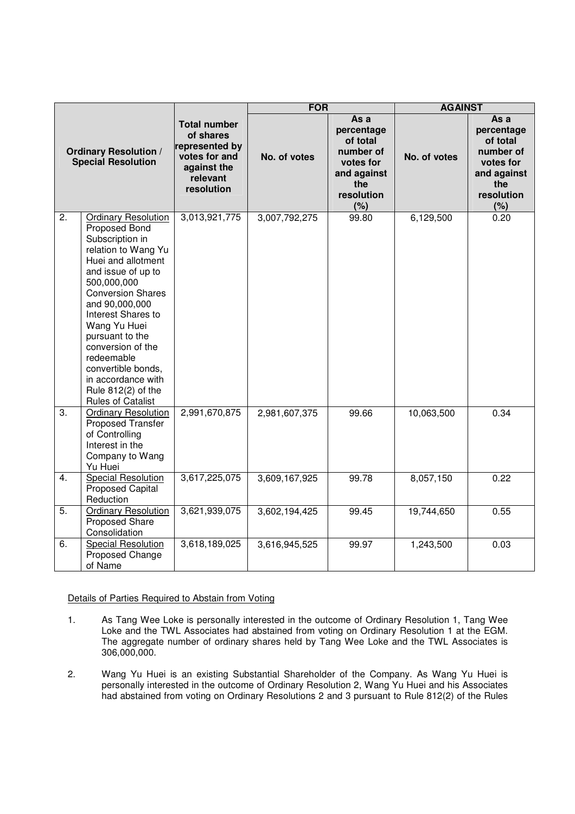|                                                           |                                                                                                                                                                                                                                                                                                                                                                                          |                                                                                                              | <b>FOR</b>    |                                                                                                     | <b>AGAINST</b> |                                                                                                     |
|-----------------------------------------------------------|------------------------------------------------------------------------------------------------------------------------------------------------------------------------------------------------------------------------------------------------------------------------------------------------------------------------------------------------------------------------------------------|--------------------------------------------------------------------------------------------------------------|---------------|-----------------------------------------------------------------------------------------------------|----------------|-----------------------------------------------------------------------------------------------------|
| <b>Ordinary Resolution /</b><br><b>Special Resolution</b> |                                                                                                                                                                                                                                                                                                                                                                                          | <b>Total number</b><br>of shares<br>represented by<br>votes for and<br>against the<br>relevant<br>resolution | No. of votes  | As a<br>percentage<br>of total<br>number of<br>votes for<br>and against<br>the<br>resolution<br>(%) | No. of votes   | As a<br>percentage<br>of total<br>number of<br>votes for<br>and against<br>the<br>resolution<br>(%) |
| 2.                                                        | <b>Ordinary Resolution</b><br>Proposed Bond<br>Subscription in<br>relation to Wang Yu<br>Huei and allotment<br>and issue of up to<br>500,000,000<br><b>Conversion Shares</b><br>and 90,000,000<br>Interest Shares to<br>Wang Yu Huei<br>pursuant to the<br>conversion of the<br>redeemable<br>convertible bonds,<br>in accordance with<br>Rule 812(2) of the<br><b>Rules of Catalist</b> | 3,013,921,775                                                                                                | 3,007,792,275 | 99.80                                                                                               | 6,129,500      | 0.20                                                                                                |
| $\overline{3}$ .                                          | <b>Ordinary Resolution</b><br>Proposed Transfer<br>of Controlling<br>Interest in the<br>Company to Wang<br>Yu Huei                                                                                                                                                                                                                                                                       | 2,991,670,875                                                                                                | 2,981,607,375 | 99.66                                                                                               | 10,063,500     | 0.34                                                                                                |
| 4.                                                        | <b>Special Resolution</b><br><b>Proposed Capital</b><br>Reduction                                                                                                                                                                                                                                                                                                                        | 3,617,225,075                                                                                                | 3,609,167,925 | 99.78                                                                                               | 8,057,150      | 0.22                                                                                                |
| 5.                                                        | <b>Ordinary Resolution</b><br>Proposed Share<br>Consolidation                                                                                                                                                                                                                                                                                                                            | 3,621,939,075                                                                                                | 3,602,194,425 | 99.45                                                                                               | 19,744,650     | 0.55                                                                                                |
| 6.                                                        | <b>Special Resolution</b><br>Proposed Change<br>of Name                                                                                                                                                                                                                                                                                                                                  | 3,618,189,025                                                                                                | 3,616,945,525 | 99.97                                                                                               | 1,243,500      | 0.03                                                                                                |

## Details of Parties Required to Abstain from Voting

- 1. As Tang Wee Loke is personally interested in the outcome of Ordinary Resolution 1, Tang Wee Loke and the TWL Associates had abstained from voting on Ordinary Resolution 1 at the EGM. The aggregate number of ordinary shares held by Tang Wee Loke and the TWL Associates is 306,000,000.
- 2. Wang Yu Huei is an existing Substantial Shareholder of the Company. As Wang Yu Huei is personally interested in the outcome of Ordinary Resolution 2, Wang Yu Huei and his Associates had abstained from voting on Ordinary Resolutions 2 and 3 pursuant to Rule 812(2) of the Rules